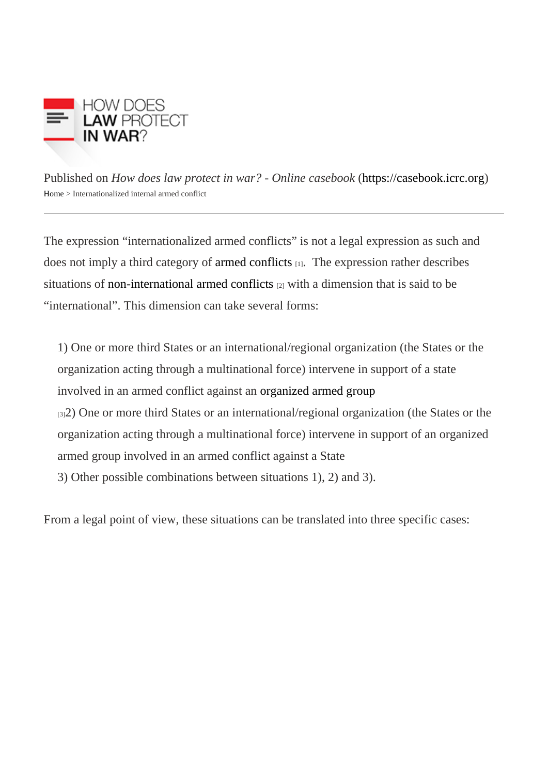Published on How does law protect in war? - Online caseboot in caseb[ook](https://casebook.icrc.org).icrc.org [Home](https://casebook.icrc.org/) > Internationalized internal armed conflict

The expression "internationalized armed conflicts" is not a legal expression as such and does not imply a third category **a** fmed conflicts  $\mathbf{I}$ . The expression rather describes situations o[f non-international armed conflic](https://casebook.icrc.org/glossary/non-international-armed-conflict)ts with a dimension that is said to be "international". This dimension can take several forms:

1) One or more third States or an international/regional organization (the States or the organization acting through a multinational force) intervene in support of a state involved in an armed conflict against **arganized armed group** [3]2) One or more third States or an international/regional organization (the States or the organization acting through a multinational force) intervene in support of an organized armed group involved in an armed conflict against a State 3) Other possible combinations between situations 1), 2) and 3).

From a legal point of view, these situations can be translated into three specific cases: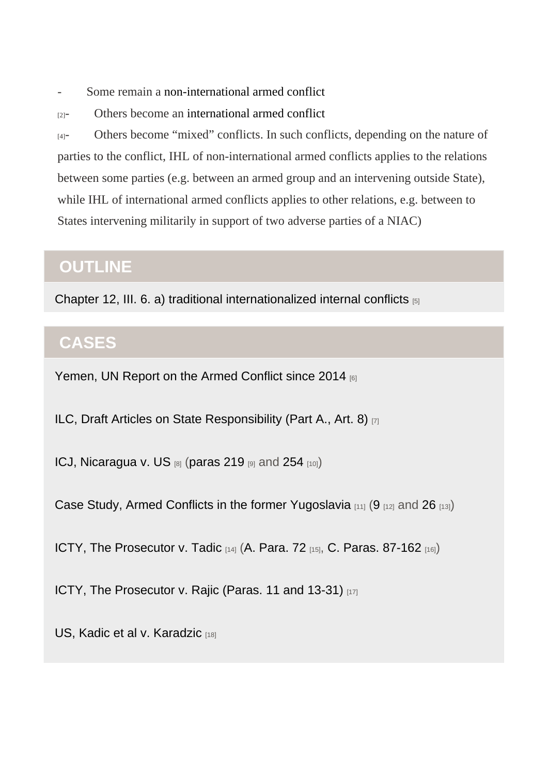Some remain mon-international armed conflict

 $_{[2]}$ - Others become anternational armed conflict

 $_{[4]}$ - Others become "mixed" conflicts. In such conflicts, depending on the nature of parties to the conflict, IHL of non-international armed conflicts applies to the relations between some parties (e.g. between an armed group and an intervening outside State), while IHL of international armed conflicts applies to other relations, e.g. between to States intervening militarily in support of two adverse parties of a NIAC)

## **OUTLINE**

[Chapter 12, III. 6. a\) traditional internationalized internal conflicts](https://casebook.icrc.org/law/non-international-armed-conflict#iii_6_a) [5]

## **CASES**

[Yemen, UN Report on the Armed Conflict since 2014](https://casebook.icrc.org/case-study/yemen-un-report-armed-conflicts-2014) [6]

[ILC, Draft Articles on State Responsibility \(Part A., Art. 8\)](https://casebook.icrc.org/case-study/international-law-commission-articles-state-responsibility#parta_art8) [7]

[ICJ, Nicaragua v. US](https://casebook.icrc.org/case-study/icj-nicaragua-v-united-states)  $_{[8]}$  ([paras 219](https://casebook.icrc.org/case-study/icj-nicaragua-v-united-states#para_219)  $_{[9]}$  and [254](https://casebook.icrc.org/case-study/icj-nicaragua-v-united-states#para_254)  $_{[10]}$ )

[Case Study, Armed Conflicts in the former Yugoslavia](https://casebook.icrc.org/case-study/case-study-armed-conflicts-former-yugoslavia) [11] [\(9](https://casebook.icrc.org/case-study/case-study-armed-conflicts-former-yugoslavia#para_9) [12] and [26](https://casebook.icrc.org/case-study/case-study-armed-conflicts-former-yugoslavia#para_26) [13])

[ICTY, The Prosecutor v. Tadic](https://casebook.icrc.org/case-study/icty-prosecutor-v-tadic)  $_{[14]}$  [\(A. Para. 72](https://casebook.icrc.org/case-study/icty-prosecutor-v-tadic#parta_para72)  $_{[15]}$ , [C. Paras. 87-162](https://casebook.icrc.org/case-study/icty-prosecutor-v-tadic#part_c_para_87)  $_{[16]}$ )

[ICTY, The Prosecutor v. Rajic \(Paras. 11 and 13-31\)](https://casebook.icrc.org/case-study/icty-prosecutor-v-rajic#parta_para11) [17]

[US, Kadic et al v. Karadzic](https://casebook.icrc.org/case-study/united-states-kadic-et-al-v-karadzic) [18]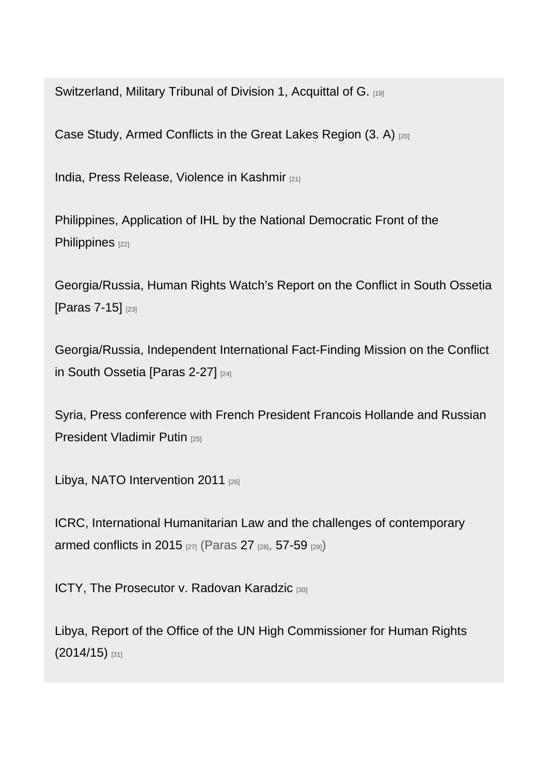[Switzerland, Military Tribunal of Division 1, Acquittal of G.](https://casebook.icrc.org/case-study/switzerland-military-tribunal-division-1-acquittal-g) [19]

[Case Study, Armed Conflicts in the Great Lakes Region \(3. A\)](https://casebook.icrc.org/case-study/case-study-armed-conflicts-great-lakes-region-1994-2005#part_3_a) [20]

[India, Press Release, Violence in Kashmir](https://casebook.icrc.org/case-study/india-press-release-violence-kashmir) [21]

[Philippines, Application of IHL by the National Democratic Front of the](https://casebook.icrc.org/case-study/philippines-application-ihl-national-democratic-front-philippines)  [Philippines](https://casebook.icrc.org/case-study/philippines-application-ihl-national-democratic-front-philippines) [22]

[Georgia/Russia, Human Rights Watch's Report on the Conflict in South Ossetia](https://casebook.icrc.org/case-study/georgiarussia-human-rights-watchs-report-conflict-south-ossetia#para_7)  [\[Paras 7-15\]](https://casebook.icrc.org/case-study/georgiarussia-human-rights-watchs-report-conflict-south-ossetia#para_7) [23]

[Georgia/Russia, Independent International Fact-Finding Mission on the Conflict](https://casebook.icrc.org/case-study/georgiarussia-independent-international-fact-finding-mission-conflict-south-ossetia#para_2)  [in South Ossetia \[Paras 2-27\]](https://casebook.icrc.org/case-study/georgiarussia-independent-international-fact-finding-mission-conflict-south-ossetia#para_2) [24]

[Syria, Press conference with French President Francois Hollande and Russian](https://casebook.icrc.org/case-study/syria-press-conference-french-president-francois-hollande-and-russian-president-vladimir)  [President Vladimir Putin](https://casebook.icrc.org/case-study/syria-press-conference-french-president-francois-hollande-and-russian-president-vladimir) [25]

[Libya, NATO Intervention 2011](https://casebook.icrc.org/case-study/libya-nato-intervention-2011) [26]

[ICRC, International Humanitarian Law and the challenges of contemporary](https://casebook.icrc.org/case-study/icrc-international-humanitarian-law-and-challenges-contemporary-armed-conflicts-2015)  [armed conflicts in 2015](https://casebook.icrc.org/case-study/icrc-international-humanitarian-law-and-challenges-contemporary-armed-conflicts-2015) [27] (Paras [27](https://casebook.icrc.org/case-study/icrc-international-humanitarian-law-and-challenges-contemporary-armed-conflicts-2015#challenges-2015-para27) [28], [57-59](https://casebook.icrc.org/case-study/icrc-international-humanitarian-law-and-challenges-contemporary-armed-conflicts-2015#challenges-2015-para57) [29])

[ICTY, The Prosecutor v. Radovan Karadzic](https://casebook.icrc.org/case-study/icty-prosecutor-v-radovan-karadzic) [30]

[Libya, Report of the Office of the UN High Commissioner for Human Rights](https://casebook.icrc.org/case-study/libya-report-office-un-high-commissioner-human-rights-201415)  [\(2014/15\)](https://casebook.icrc.org/case-study/libya-report-office-un-high-commissioner-human-rights-201415) [31]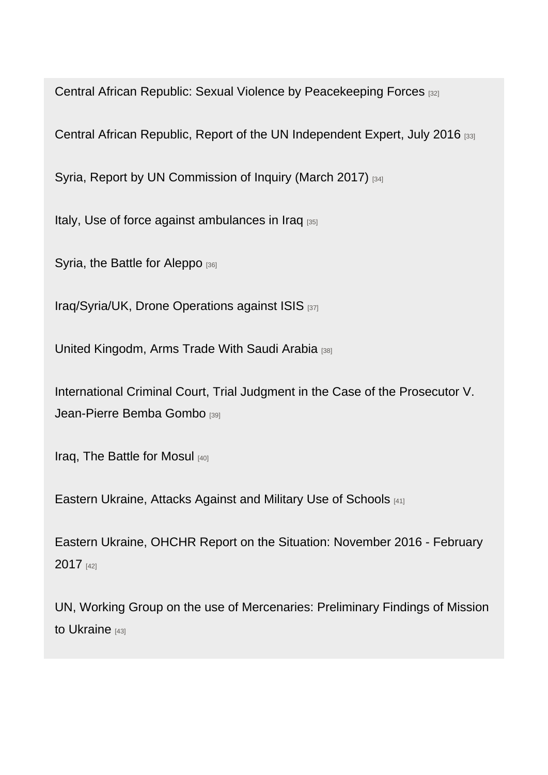[Central African Republic: Sexual Violence by Peacekeeping Forces](https://casebook.icrc.org/case-study/central-african-republic-sexual-violence-peacekeeping-forces) [32]

[Central African Republic, Report of the UN Independent Expert, July 2016](https://casebook.icrc.org/case-study/central-african-republic-report-un-independent-expert-july-2016) [33]

[Syria, Report by UN Commission of Inquiry \(March 2017\)](https://casebook.icrc.org/case-study/syria-report-un-commission-inquiry-march-2017) [34]

[Italy, Use of force against ambulances in Iraq](https://casebook.icrc.org/case-study/italy-use-force-against-ambulances-iraq) [35]

[Syria, the Battle for Aleppo](https://casebook.icrc.org/case-study/syria-battle-aleppo) [36]

[Iraq/Syria/UK, Drone Operations against ISIS](https://casebook.icrc.org/case-study/iraqsyriauk-drone-operations-against-isis) [37]

[United Kingodm, Arms Trade With Saudi Arabia](https://casebook.icrc.org/case-study/united-kingdom-arms-trade-saudi-arabia) [38]

[International Criminal Court, Trial Judgment in the Case of the Prosecutor V.](https://casebook.icrc.org/case-study/international-criminal-court-trial-judgment-case-prosecutor-v-jean-pierre-bemba-gombo)  [Jean-Pierre Bemba Gombo](https://casebook.icrc.org/case-study/international-criminal-court-trial-judgment-case-prosecutor-v-jean-pierre-bemba-gombo) [39]

[Iraq, The Battle for Mosul](https://casebook.icrc.org/case-study/iraq-battle-mosul) [40]

[Eastern Ukraine, Attacks Against and Military Use of Schools](https://casebook.icrc.org/case-study/eastern-ukraine-attacks-against-and-military-use-schools) [41]

[Eastern Ukraine, OHCHR Report on the Situation: November 2016 - February](https://casebook.icrc.org/case-study/eastern-ukraine-ohchr-report-situation-november-2016-february-2017)  [2017](https://casebook.icrc.org/case-study/eastern-ukraine-ohchr-report-situation-november-2016-february-2017) [42]

[UN, Working Group on the use of Mercenaries: Preliminary Findings of Mission](https://casebook.icrc.org/case-study/un-working-group-use-mercenaries-preliminary-findings-mission-ukraine)  [to Ukraine](https://casebook.icrc.org/case-study/un-working-group-use-mercenaries-preliminary-findings-mission-ukraine) [43]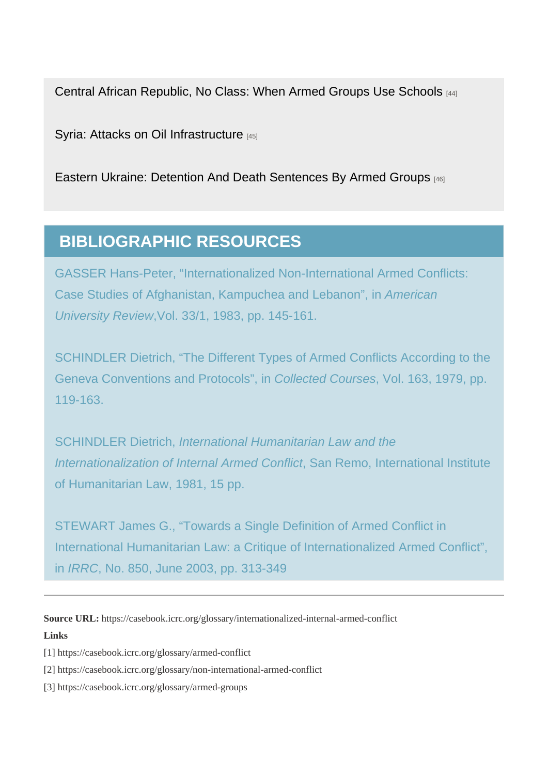[Central African Republic, No Class: When Armed Groups Use Schools](https://casebook.icrc.org/case-study/central-african-republic-no-class-when-armed-groups-use-schools) [44]

[Syria: Attacks on Oil Infrastructure](https://casebook.icrc.org/case-study/syria-attacks-oil-infrastructure) [45]

[Eastern Ukraine: Detention And Death Sentences By Armed Groups](https://casebook.icrc.org/case-study/eastern-ukraine-detention-and-death-sentences-armed-groups) [46]

## BIBLIOGRAPHIC RESOURCES

Source URL: https://casebook.icrc.org/glossary/internationalized-internal-armed-conflict Links

[1] https://casebook.icrc.org/glossary/armed-conflict

[2] https://casebook.icrc.org/glossary/non-international-armed-conflict

[3] https://casebook.icrc.org/glossary/armed-groups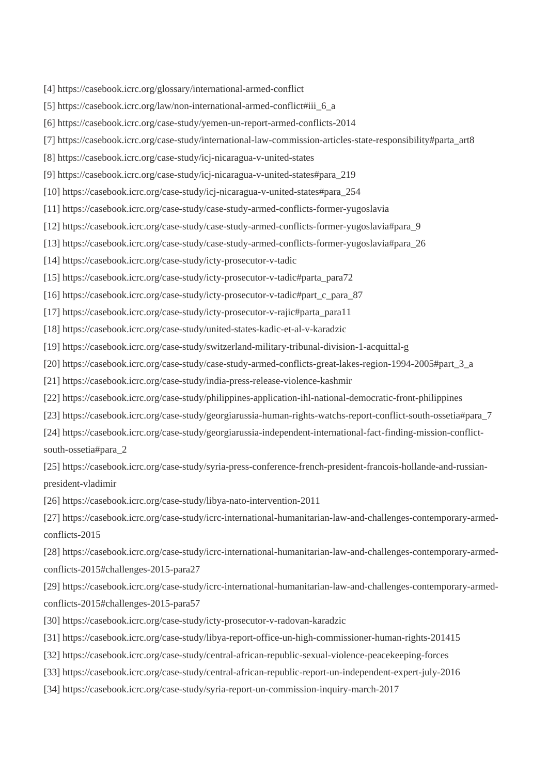- [4] https://casebook.icrc.org/glossary/international-armed-conflict
- [5] https://casebook.icrc.org/law/non-international-armed-conflict#iii\_6\_a
- [6] https://casebook.icrc.org/case-study/yemen-un-report-armed-conflicts-2014
- [7] https://casebook.icrc.org/case-study/international-law-commission-articles-state-responsibility#parta\_art8
- [8] https://casebook.icrc.org/case-study/icj-nicaragua-v-united-states
- [9] https://casebook.icrc.org/case-study/icj-nicaragua-v-united-states#para\_219
- [10] https://casebook.icrc.org/case-study/icj-nicaragua-v-united-states#para\_254
- [11] https://casebook.icrc.org/case-study/case-study-armed-conflicts-former-yugoslavia
- [12] https://casebook.icrc.org/case-study/case-study-armed-conflicts-former-yugoslavia#para\_9
- [13] https://casebook.icrc.org/case-study/case-study-armed-conflicts-former-yugoslavia#para\_26
- [14] https://casebook.icrc.org/case-study/icty-prosecutor-v-tadic
- [15] https://casebook.icrc.org/case-study/icty-prosecutor-v-tadic#parta\_para72
- [16] https://casebook.icrc.org/case-study/icty-prosecutor-v-tadic#part\_c\_para\_87
- [17] https://casebook.icrc.org/case-study/icty-prosecutor-v-rajic#parta\_para11
- [18] https://casebook.icrc.org/case-study/united-states-kadic-et-al-v-karadzic
- [19] https://casebook.icrc.org/case-study/switzerland-military-tribunal-division-1-acquittal-g
- [20] https://casebook.icrc.org/case-study/case-study-armed-conflicts-great-lakes-region-1994-2005#part\_3\_a
- [21] https://casebook.icrc.org/case-study/india-press-release-violence-kashmir
- [22] https://casebook.icrc.org/case-study/philippines-application-ihl-national-democratic-front-philippines
- [23] https://casebook.icrc.org/case-study/georgiarussia-human-rights-watchs-report-conflict-south-ossetia#para\_7
- [24] https://casebook.icrc.org/case-study/georgiarussia-independent-international-fact-finding-mission-conflictsouth-ossetia#para\_2
- [25] https://casebook.icrc.org/case-study/syria-press-conference-french-president-francois-hollande-and-russianpresident-vladimir
- [26] https://casebook.icrc.org/case-study/libya-nato-intervention-2011
- [27] https://casebook.icrc.org/case-study/icrc-international-humanitarian-law-and-challenges-contemporary-armedconflicts-2015
- [28] https://casebook.icrc.org/case-study/icrc-international-humanitarian-law-and-challenges-contemporary-armedconflicts-2015#challenges-2015-para27
- [29] https://casebook.icrc.org/case-study/icrc-international-humanitarian-law-and-challenges-contemporary-armedconflicts-2015#challenges-2015-para57
- [30] https://casebook.icrc.org/case-study/icty-prosecutor-v-radovan-karadzic
- [31] https://casebook.icrc.org/case-study/libya-report-office-un-high-commissioner-human-rights-201415
- [32] https://casebook.icrc.org/case-study/central-african-republic-sexual-violence-peacekeeping-forces
- [33] https://casebook.icrc.org/case-study/central-african-republic-report-un-independent-expert-july-2016
- [34] https://casebook.icrc.org/case-study/syria-report-un-commission-inquiry-march-2017